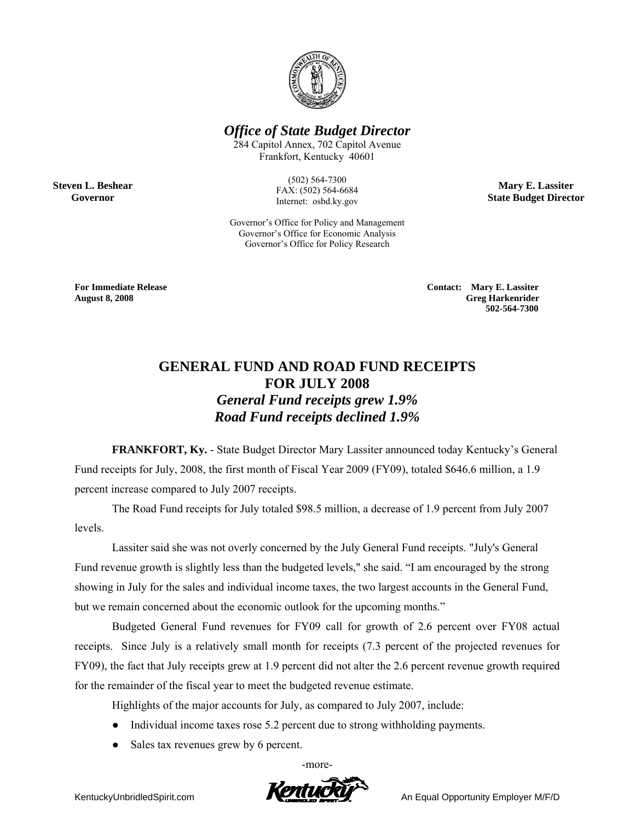

## *Office of State Budget Director*

284 Capitol Annex, 702 Capitol Avenue Frankfort, Kentucky 40601

> (502) 564-7300 FAX: (502) 564-6684 Internet: osbd.ky.gov

Governor's Office for Policy and Management Governor's Office for Economic Analysis Governor's Office for Policy Research

**Mary E. Lassiter State Budget Director** 

**Steven L. Beshear Governor** 

> **For Immediate Release Contact: Mary E. Lassiter August 8, 2008 Greg Harkenrider 502-564-7300**

## **GENERAL FUND AND ROAD FUND RECEIPTS FOR JULY 2008**  *General Fund receipts grew 1.9% Road Fund receipts declined 1.9%*

**FRANKFORT, Ky.** - State Budget Director Mary Lassiter announced today Kentucky's General Fund receipts for July, 2008, the first month of Fiscal Year 2009 (FY09), totaled \$646.6 million, a 1.9 percent increase compared to July 2007 receipts.

The Road Fund receipts for July totaled \$98.5 million, a decrease of 1.9 percent from July 2007 levels.

Lassiter said she was not overly concerned by the July General Fund receipts. "July's General Fund revenue growth is slightly less than the budgeted levels," she said. "I am encouraged by the strong showing in July for the sales and individual income taxes, the two largest accounts in the General Fund, but we remain concerned about the economic outlook for the upcoming months."

Budgeted General Fund revenues for FY09 call for growth of 2.6 percent over FY08 actual receipts. Since July is a relatively small month for receipts (7.3 percent of the projected revenues for FY09), the fact that July receipts grew at 1.9 percent did not alter the 2.6 percent revenue growth required for the remainder of the fiscal year to meet the budgeted revenue estimate.

Highlights of the major accounts for July, as compared to July 2007, include:

- Individual income taxes rose 5.2 percent due to strong withholding payments.
- Sales tax revenues grew by 6 percent.

-more-

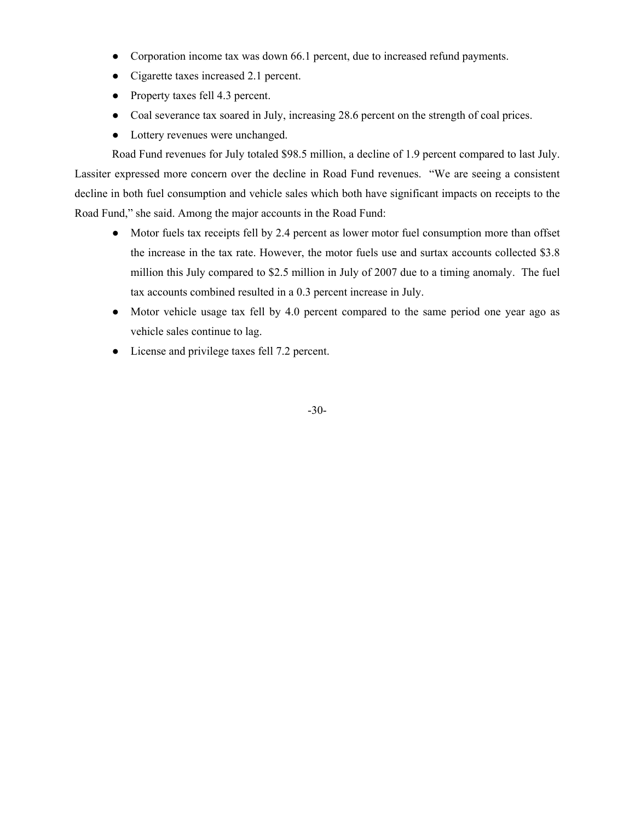- Corporation income tax was down 66.1 percent, due to increased refund payments.
- Cigarette taxes increased 2.1 percent.
- Property taxes fell 4.3 percent.
- Coal severance tax soared in July, increasing 28.6 percent on the strength of coal prices.
- Lottery revenues were unchanged.

 Road Fund revenues for July totaled \$98.5 million, a decline of 1.9 percent compared to last July. Lassiter expressed more concern over the decline in Road Fund revenues. "We are seeing a consistent decline in both fuel consumption and vehicle sales which both have significant impacts on receipts to the Road Fund," she said. Among the major accounts in the Road Fund:

- Motor fuels tax receipts fell by 2.4 percent as lower motor fuel consumption more than offset the increase in the tax rate. However, the motor fuels use and surtax accounts collected \$3.8 million this July compared to \$2.5 million in July of 2007 due to a timing anomaly. The fuel tax accounts combined resulted in a 0.3 percent increase in July.
- Motor vehicle usage tax fell by 4.0 percent compared to the same period one year ago as vehicle sales continue to lag.
- License and privilege taxes fell 7.2 percent.

-30-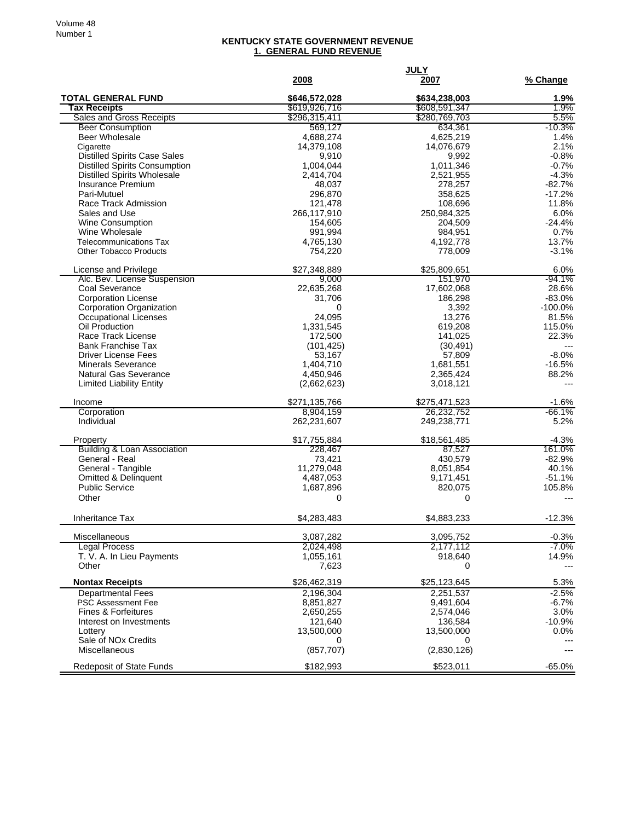## **KENTUCKY STATE GOVERNMENT REVENUE 1. GENERAL FUND REVENUE**

|                                                                | 2008                 | <b>JULY</b><br>2007  | % Change           |
|----------------------------------------------------------------|----------------------|----------------------|--------------------|
| <b>TOTAL GENERAL FUND</b>                                      | \$646,572,028        | \$634,238,003        | 1.9%               |
| <b>Tax Receipts</b>                                            | \$619,926,716        | \$608,591,347        | 1.9%               |
| <b>Sales and Gross Receipts</b>                                | \$296,315,411        | \$280,769,703        | 5.5%               |
| <b>Beer Consumption</b>                                        | 569.127              | 634,361              | $-10.3%$           |
| <b>Beer Wholesale</b>                                          | 4,688,274            | 4,625,219            | 1.4%               |
| Cigarette                                                      | 14,379,108           | 14,076,679           | 2.1%               |
| <b>Distilled Spirits Case Sales</b>                            | 9,910                | 9,992                | $-0.8%$            |
| <b>Distilled Spirits Consumption</b>                           | 1,004,044            | 1,011,346            | $-0.7%$<br>$-4.3%$ |
| <b>Distilled Spirits Wholesale</b><br><b>Insurance Premium</b> | 2,414,704<br>48,037  | 2,521,955<br>278,257 | $-82.7%$           |
| Pari-Mutuel                                                    | 296,870              | 358,625              | $-17.2%$           |
| Race Track Admission                                           | 121,478              | 108,696              | 11.8%              |
| Sales and Use                                                  | 266,117,910          | 250,984,325          | 6.0%               |
| Wine Consumption                                               | 154,605              | 204,509              | $-24.4%$           |
| Wine Wholesale                                                 | 991,994              | 984,951              | 0.7%               |
| <b>Telecommunications Tax</b>                                  | 4,765,130            | 4,192,778            | 13.7%              |
| <b>Other Tobacco Products</b>                                  | 754,220              | 778,009              | $-3.1%$            |
| License and Privilege                                          | \$27,348,889         | \$25,809,651         | 6.0%               |
| Alc. Bev. License Suspension                                   | 9,000                | 151,970              | $-94.1%$           |
| Coal Severance                                                 | 22,635,268           | 17,602,068           | 28.6%              |
| <b>Corporation License</b>                                     | 31,706               | 186,298              | $-83.0%$           |
| Corporation Organization                                       | 0                    | 3,392                | $-100.0%$          |
| Occupational Licenses                                          | 24,095               | 13,276               | 81.5%              |
| Oil Production<br>Race Track License                           | 1,331,545<br>172,500 | 619,208<br>141,025   | 115.0%<br>22.3%    |
| <b>Bank Franchise Tax</b>                                      | (101, 425)           | (30, 491)            | $---$              |
| <b>Driver License Fees</b>                                     | 53,167               | 57,809               | $-8.0%$            |
| <b>Minerals Severance</b>                                      | 1,404,710            | 1,681,551            | $-16.5%$           |
| <b>Natural Gas Severance</b>                                   | 4,450,946            | 2,365,424            | 88.2%              |
| <b>Limited Liability Entity</b>                                | (2,662,623)          | 3,018,121            |                    |
| Income                                                         | \$271,135,766        | \$275,471,523        | $-1.6%$            |
| Corporation                                                    | 8,904,159            | 26,232,752           | $-66.1%$           |
| Individual                                                     | 262,231,607          | 249,238,771          | 5.2%               |
| Property                                                       | \$17,755,884         | \$18,561,485         | $-4.3%$            |
| <b>Building &amp; Loan Association</b>                         | 228,467              | 87,527               | 161.0%             |
| General - Real                                                 | 73,421               | 430,579              | $-82.9%$           |
| General - Tangible                                             | 11,279,048           | 8,051,854            | 40.1%              |
| <b>Omitted &amp; Delinquent</b>                                | 4,487,053            | 9,171,451            | $-51.1%$           |
| <b>Public Service</b>                                          | 1,687,896            | 820,075              | 105.8%             |
| Other                                                          | 0                    | 0                    |                    |
| <b>Inheritance Tax</b>                                         | \$4,283,483          | \$4,883,233          | $-12.3%$           |
| Miscellaneous                                                  | 3,087,282            | 3,095,752            | $-0.3%$            |
| <b>Legal Process</b>                                           | 2,024,498            | 2,177,112            | $-7.0%$            |
| T. V. A. In Lieu Payments                                      | 1,055,161            | 918,640              | 14.9%              |
| Other                                                          | 7,623                | 0                    | $---$              |
| <b>Nontax Receipts</b>                                         | \$26,462,319         | \$25,123,645         | 5.3%               |
| <b>Departmental Fees</b>                                       | 2,196,304            | 2,251,537            | $-2.5%$            |
| <b>PSC Assessment Fee</b>                                      | 8,851,827            | 9,491,604            | $-6.7%$            |
| <b>Fines &amp; Forfeitures</b>                                 | 2,650,255            | 2,574,046            | 3.0%               |
| Interest on Investments                                        | 121,640              | 136,584              | $-10.9%$           |
| Lottery<br>Sale of NO <sub>x</sub> Credits                     | 13,500,000           | 13,500,000           | 0.0%               |
| Miscellaneous                                                  | 0<br>(857, 707)      | 0<br>(2,830,126)     | $---$<br>$---$     |
|                                                                |                      |                      |                    |
| <b>Redeposit of State Funds</b>                                | \$182,993            | \$523,011            | $-65.0%$           |